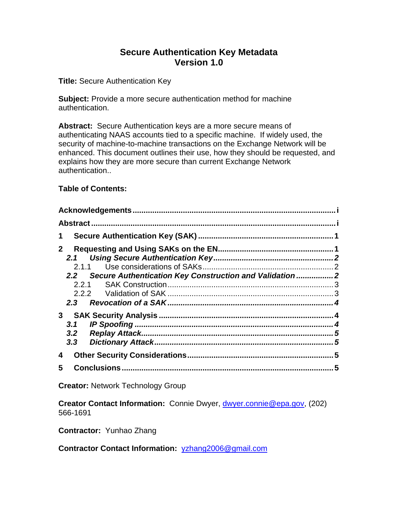# **Secure Authentication Key Metadata Version 1.0**

**Title:** Secure Authentication Key

**Subject:** Provide a more secure authentication method for machine authentication.

**Abstract:** Secure Authentication keys are a more secure means of authenticating NAAS accounts tied to a specific machine. If widely used, the security of machine-to-machine transactions on the Exchange Network will be enhanced. This document outlines their use, how they should be requested, and explains how they are more secure than current Exchange Network authentication..

## **Table of Contents:**

| 1                                                                     |   |
|-----------------------------------------------------------------------|---|
| $\mathbf{2}$                                                          |   |
| 2.1.1<br>2.2 Secure Authentication Key Construction and Validation  2 |   |
| 2.2.1<br>2.3                                                          |   |
| 3<br>3.1<br>3.3                                                       | 5 |
| 4                                                                     |   |
| 5                                                                     | 5 |

**Creator:** Network Technology Group

**Creator Contact Information:** Connie Dwyer, [dwyer.connie@epa.gov](mailto:dwyer.connie@epa.gov), (202) 566-1691

**Contractor:** Yunhao Zhang

**Contractor Contact Information:** [yzhang2006@gmail.com](mailto:yzhang2006@gmail.com)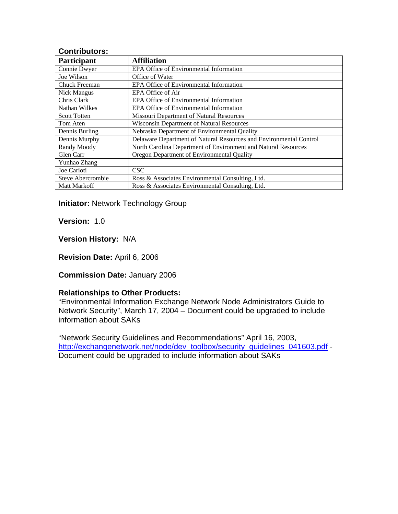### **Contributors:**

| <b>Participant</b>  | <b>Affiliation</b>                                                 |
|---------------------|--------------------------------------------------------------------|
| Connie Dwyer        | EPA Office of Environmental Information                            |
| Joe Wilson          | Office of Water                                                    |
| Chuck Freeman       | EPA Office of Environmental Information                            |
| <b>Nick Mangus</b>  | EPA Office of Air                                                  |
| Chris Clark         | EPA Office of Environmental Information                            |
| Nathan Wilkes       | EPA Office of Environmental Information                            |
| <b>Scott Totten</b> | Missouri Department of Natural Resources                           |
| Tom Aten            | <b>Wisconsin Department of Natural Resources</b>                   |
| Dennis Burling      | Nebraska Department of Environmental Quality                       |
| Dennis Murphy       | Delaware Department of Natural Resources and Environmental Control |
| Randy Moody         | North Carolina Department of Environment and Natural Resources     |
| Glen Carr           | Oregon Department of Environmental Quality                         |
| Yunhao Zhang        |                                                                    |
| Joe Carioti         | <b>CSC</b>                                                         |
| Steve Abercrombie   | Ross & Associates Environmental Consulting, Ltd.                   |
| Matt Markoff        | Ross & Associates Environmental Consulting, Ltd.                   |

**Initiator:** Network Technology Group

**Version:** 1.0

**Version History:** N/A

**Revision Date:** April 6, 2006

**Commission Date:** January 2006

### **Relationships to Other Products:**

"Environmental Information Exchange Network Node Administrators Guide to Network Security", March 17, 2004 – Document could be upgraded to include information about SAKs

"Network Security Guidelines and Recommendations" April 16, 2003, [http://exchangenetwork.net/node/dev\\_toolbox/security\\_guidelines\\_041603.pdf](http://exchangenetwork.net/node/dev_toolbox/security_guidelines_041603.pdf) - Document could be upgraded to include information about SAKs